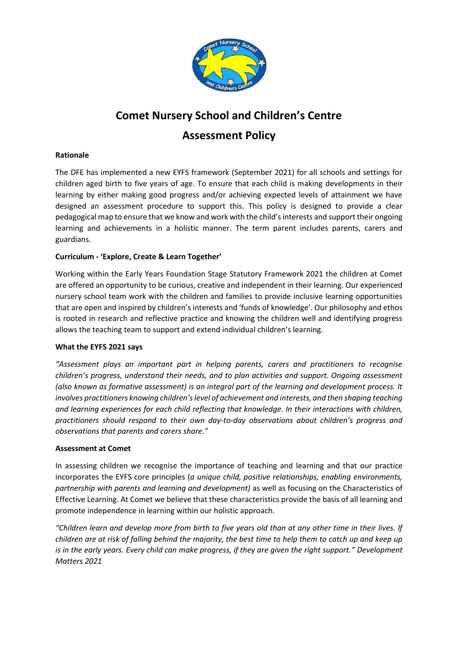

# **Comet Nursery School and Children's Centre Assessment Policy**

# **Rationale**

The DFE has implemented a new EYFS framework (September 2021) for all schools and settings for children aged birth to five years of age. To ensure that each child is making developments in their learning by either making good progress and/or achieving expected levels of attainment we have designed an assessment procedure to support this. This policy is designed to provide a clear pedagogical map to ensure that we know and work with the child's interests and support their ongoing learning and achievements in a holistic manner. The term parent includes parents, carers and guardians.

# **Curriculum - 'Explore, Create & Learn Together'**

Working within the Early Years Foundation Stage Statutory Framework 2021 the children at Comet are offered an opportunity to be curious, creative and independent in their learning. Our experienced nursery school team work with the children and families to provide inclusive learning opportunities that are open and inspired by children's interests and 'funds of knowledge'. Our philosophy and ethos is rooted in research and reflective practice and knowing the children well and identifying progress allows the teaching team to support and extend individual children's learning.

# **What the EYFS 2021 says**

*"Assessment plays an important part in helping parents, carers and practitioners to recognise children's progress, understand their needs, and to plan activities and support. Ongoing assessment (also known as formative assessment) is an integral part of the learning and development process. It involves practitioners knowing children's level of achievement and interests, and then shaping teaching and learning experiences for each child reflecting that knowledge. In their interactions with children, practitioners should respond to their own day-to-day observations about children's progress and observations that parents and carers share."*

# **Assessment at Comet**

In assessing children we recognise the importance of teaching and learning and that our practice incorporates the EYFS core principles (*a unique child, positive relationships, enabling environments, partnership with parents and learning and development)* as well as focusing on the Characteristics of Effective Learning. At Comet we believe that these characteristics provide the basis of all learning and promote independence in learning within our holistic approach.

*"Children learn and develop more from birth to five years old than at any other time in their lives. If children are at risk of falling behind the majority, the best time to help them to catch up and keep up is in the early years. Every child can make progress, if they are given the right support." Development Matters 2021*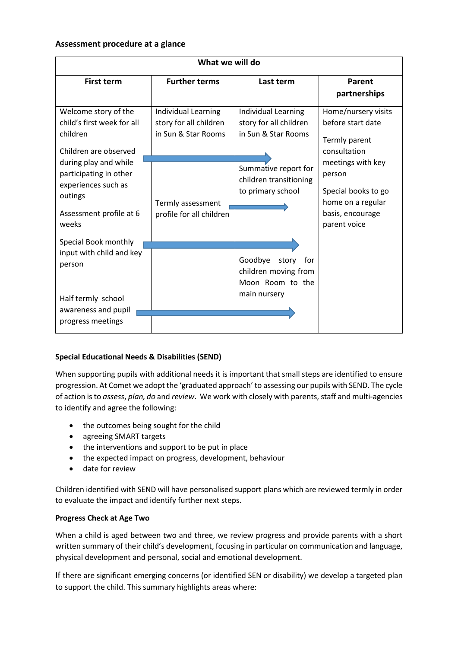### **Assessment procedure at a glance**

| What we will do                                                                                                                                                                                                                                                                                                                                  |                                                                      |                                                                                     |                                                                                                                                                                                          |  |  |
|--------------------------------------------------------------------------------------------------------------------------------------------------------------------------------------------------------------------------------------------------------------------------------------------------------------------------------------------------|----------------------------------------------------------------------|-------------------------------------------------------------------------------------|------------------------------------------------------------------------------------------------------------------------------------------------------------------------------------------|--|--|
| <b>First term</b>                                                                                                                                                                                                                                                                                                                                | <b>Further terms</b>                                                 | Last term                                                                           | Parent<br>partnerships                                                                                                                                                                   |  |  |
| Welcome story of the<br>child's first week for all<br>children<br>Children are observed<br>during play and while<br>participating in other<br>experiences such as<br>outings<br>Assessment profile at 6<br>weeks<br>Special Book monthly<br>input with child and key<br>person<br>Half termly school<br>awareness and pupil<br>progress meetings | Individual Learning<br>story for all children<br>in Sun & Star Rooms | Individual Learning<br>story for all children<br>in Sun & Star Rooms                | Home/nursery visits<br>before start date<br>Termly parent<br>consultation<br>meetings with key<br>person<br>Special books to go<br>home on a regular<br>basis, encourage<br>parent voice |  |  |
|                                                                                                                                                                                                                                                                                                                                                  | Termly assessment<br>profile for all children                        | Summative report for<br>children transitioning<br>to primary school                 |                                                                                                                                                                                          |  |  |
|                                                                                                                                                                                                                                                                                                                                                  |                                                                      | Goodbye<br>story<br>for<br>children moving from<br>Moon Room to the<br>main nursery |                                                                                                                                                                                          |  |  |

# **Special Educational Needs & Disabilities (SEND)**

When supporting pupils with additional needs it is important that small steps are identified to ensure progression. At Comet we adopt the 'graduated approach' to assessing our pupils with SEND. The cycle of action is to *assess*, *plan, do* and *review*. We work with closely with parents, staff and multi-agencies to identify and agree the following:

- the outcomes being sought for the child
- agreeing SMART targets
- the interventions and support to be put in place
- the expected impact on progress, development, behaviour
- date for review

Children identified with SEND will have personalised support plans which are reviewed termly in order to evaluate the impact and identify further next steps.

# **Progress Check at Age Two**

When a child is aged between two and three, we review progress and provide parents with a short written summary of their child's development, focusing in particular on communication and language, physical development and personal, social and emotional development.

If there are significant emerging concerns (or identified SEN or disability) we develop a targeted plan to support the child. This summary highlights areas where: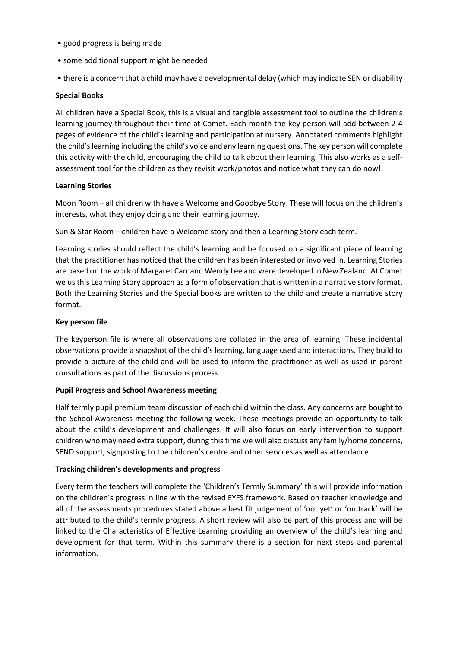- good progress is being made
- some additional support might be needed
- there is a concern that a child may have a developmental delay (which may indicate SEN or disability

## **Special Books**

All children have a Special Book, this is a visual and tangible assessment tool to outline the children's learning journey throughout their time at Comet. Each month the key person will add between 2-4 pages of evidence of the child's learning and participation at nursery. Annotated comments highlight the child's learning including the child's voice and any learning questions. The key person will complete this activity with the child, encouraging the child to talk about their learning. This also works as a selfassessment tool for the children as they revisit work/photos and notice what they can do now!

## **Learning Stories**

Moon Room – all children with have a Welcome and Goodbye Story. These will focus on the children's interests, what they enjoy doing and their learning journey.

Sun & Star Room – children have a Welcome story and then a Learning Story each term.

Learning stories should reflect the child's learning and be focused on a significant piece of learning that the practitioner has noticed that the children has been interested or involved in. Learning Stories are based on the work of Margaret Carr and Wendy Lee and were developed in New Zealand. At Comet we us this Learning Story approach as a form of observation that is written in a narrative story format. Both the Learning Stories and the Special books are written to the child and create a narrative story format.

### **Key person file**

The keyperson file is where all observations are collated in the area of learning. These incidental observations provide a snapshot of the child's learning, language used and interactions. They build to provide a picture of the child and will be used to inform the practitioner as well as used in parent consultations as part of the discussions process.

# **Pupil Progress and School Awareness meeting**

Half termly pupil premium team discussion of each child within the class. Any concerns are bought to the School Awareness meeting the following week. These meetings provide an opportunity to talk about the child's development and challenges. It will also focus on early intervention to support children who may need extra support, during this time we will also discuss any family/home concerns, SEND support, signposting to the children's centre and other services as well as attendance.

# **Tracking children's developments and progress**

Every term the teachers will complete the 'Children's Termly Summary' this will provide information on the children's progress in line with the revised EYFS framework. Based on teacher knowledge and all of the assessments procedures stated above a best fit judgement of 'not yet' or 'on track' will be attributed to the child's termly progress. A short review will also be part of this process and will be linked to the Characteristics of Effective Learning providing an overview of the child's learning and development for that term. Within this summary there is a section for next steps and parental information.